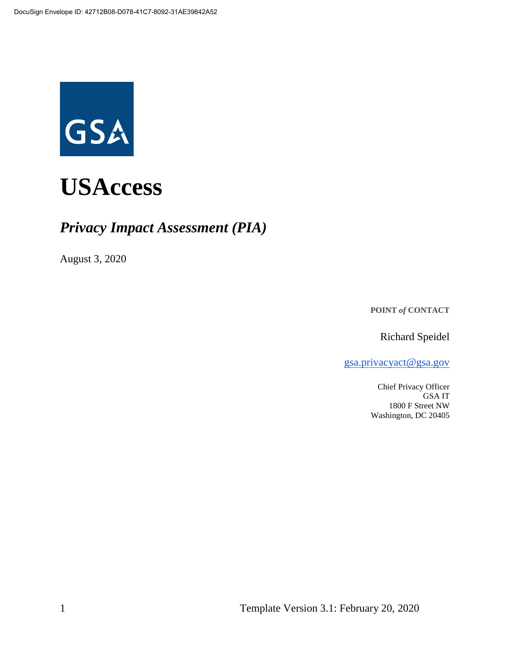

# *Privacy Impact Assessment (PIA)*

August 3, 2020

**POINT** *of* **CONTACT**

Richard Speidel

[gsa.privacyact@gsa.gov](mailto:gsa.privacyact@gsa.gov)

Chief Privacy Officer GSA IT 1800 F Street NW Washington, DC 20405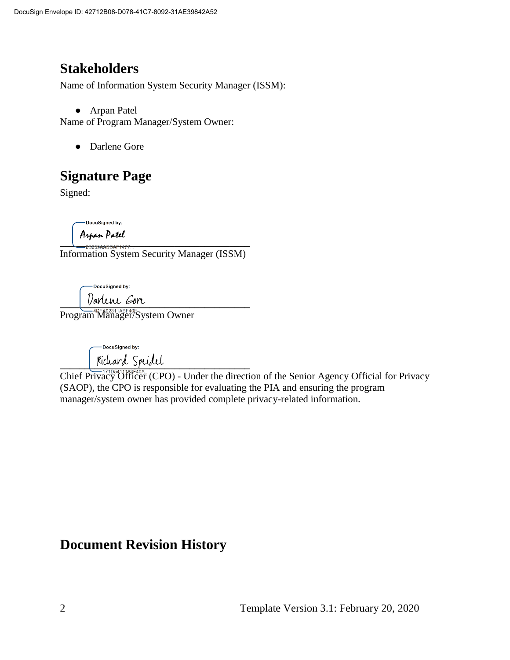# **Stakeholders**

Name of Information System Security Manager (ISSM):

● Arpan Patel

Name of Program Manager/System Owner:

● Darlene Gore

# **Signature Page**

Signed:

DocuSigned by:

A<mark>npan Patel</mark><br>—<del>8B059AABDAF1477…</del>

Information System Security Manager (ISSM)

DocuSigned by:

 $\blacksquare$  varient sort

Program Manager/System Owner

-DocuSigned by: **\_\_\_\_\_\_\_\_\_\_\_\_\_\_\_\_\_\_\_\_\_\_\_\_\_\_\_\_\_\_\_\_\_\_\_\_\_\_**

Chief Privacy Officer (CPO) - Under the direction of the Senior Agency Official for Privacy (SAOP), the CPO is responsible for evaluating the PIA and ensuring the program manager/system owner has provided complete privacy-related information.

# **Document Revision History**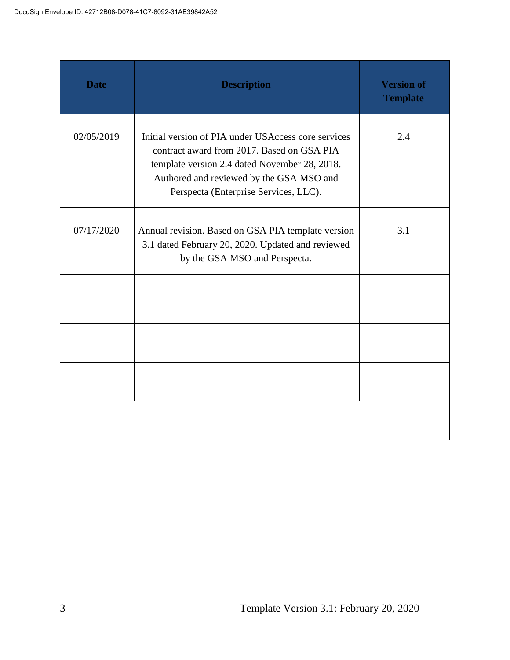| <b>Date</b> | <b>Description</b>                                                                                                                                                                                                                      | <b>Version of</b><br><b>Template</b> |
|-------------|-----------------------------------------------------------------------------------------------------------------------------------------------------------------------------------------------------------------------------------------|--------------------------------------|
| 02/05/2019  | Initial version of PIA under USAccess core services<br>contract award from 2017. Based on GSA PIA<br>template version 2.4 dated November 28, 2018.<br>Authored and reviewed by the GSA MSO and<br>Perspecta (Enterprise Services, LLC). | 2.4                                  |
| 07/17/2020  | Annual revision. Based on GSA PIA template version<br>3.1 dated February 20, 2020. Updated and reviewed<br>by the GSA MSO and Perspecta.                                                                                                | 3.1                                  |
|             |                                                                                                                                                                                                                                         |                                      |
|             |                                                                                                                                                                                                                                         |                                      |
|             |                                                                                                                                                                                                                                         |                                      |
|             |                                                                                                                                                                                                                                         |                                      |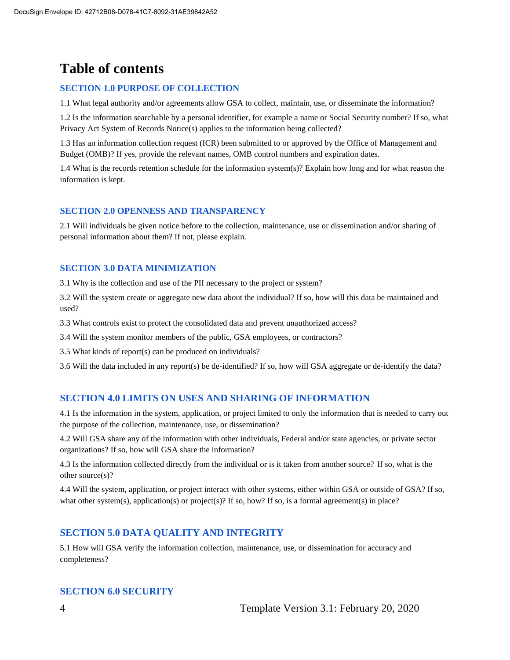# **Table of contents**

#### **SECTION 1.0 PURPOSE OF COLLECTION**

1.1 What legal authority and/or agreements allow GSA to collect, maintain, use, or disseminate the information?

1.2 Is the information searchable by a personal identifier, for example a name or Social Security number? If so, what Privacy Act System of Records Notice(s) applies to the information being collected?

1.3 Has an information collection request (ICR) been submitted to or approved by the Office of Management and Budget (OMB)? If yes, provide the relevant names, OMB control numbers and expiration dates.

1.4 What is the records retention schedule for the information system(s)? Explain how long and for what reason the information is kept.

#### **SECTION 2.0 OPENNESS AND TRANSPARENCY**

2.1 Will individuals be given notice before to the collection, maintenance, use or dissemination and/or sharing of personal information about them? If not, please explain.

#### **SECTION 3.0 DATA MINIMIZATION**

3.1 Why is the collection and use of the PII necessary to the project or system?

3.2 Will the system create or aggregate new data about the individual? If so, how will this data be maintained and used?

3.3 What controls exist to protect the consolidated data and prevent unauthorized access?

3.4 Will the system monitor members of the public, GSA employees, or contractors?

3.5 What kinds of report(s) can be produced on individuals?

3.6 Will the data included in any report(s) be de-identified? If so, how will GSA aggregate or de-identify the data?

#### **SECTION 4.0 LIMITS ON USES AND SHARING OF INFORMATION**

4.1 Is the information in the system, application, or project limited to only the information that is needed to carry out the purpose of the collection, maintenance, use, or dissemination?

4.2 Will GSA share any of the information with other individuals, Federal and/or state agencies, or private sector organizations? If so, how will GSA share the information?

4.3 Is the information collected directly from the individual or is it taken from another source? If so, what is the other source(s)?

4.4 Will the system, application, or project interact with other systems, either within GSA or outside of GSA? If so, what other system(s), application(s) or project(s)? If so, how? If so, is a formal agreement(s) in place?

#### **SECTION 5.0 DATA QUALITY AND INTEGRITY**

5.1 How will GSA verify the information collection, maintenance, use, or dissemination for accuracy and completeness?

#### **SECTION 6.0 SECURITY**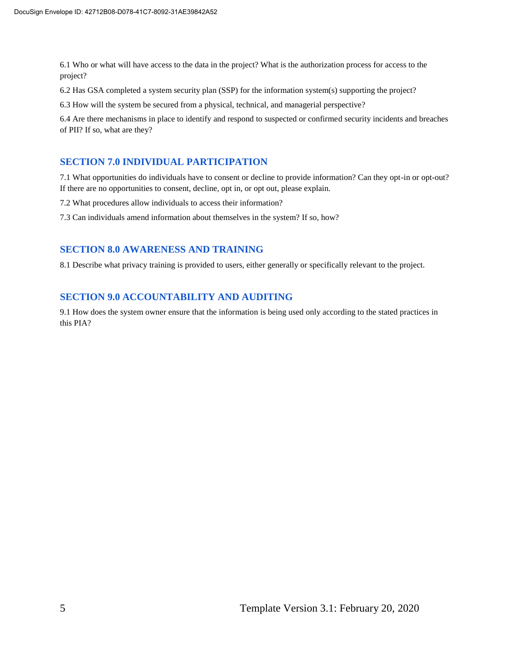6.1 Who or what will have access to the data in the project? What is the authorization process for access to the project?

6.2 Has GSA completed a system security plan (SSP) for the information system(s) supporting the project?

6.3 How will the system be secured from a physical, technical, and managerial perspective?

6.4 Are there mechanisms in place to identify and respond to suspected or confirmed security incidents and breaches of PII? If so, what are they?

#### **SECTION 7.0 INDIVIDUAL PARTICIPATION**

7.1 What opportunities do individuals have to consent or decline to provide information? Can they opt-in or opt-out? If there are no opportunities to consent, decline, opt in, or opt out, please explain.

7.2 What procedures allow individuals to access their information?

7.3 Can individuals amend information about themselves in the system? If so, how?

#### **SECTION 8.0 AWARENESS AND TRAINING**

8.1 Describe what privacy training is provided to users, either generally or specifically relevant to the project.

#### **SECTION 9.0 ACCOUNTABILITY AND AUDITING**

9.1 How does the system owner ensure that the information is being used only according to the stated practices in this PIA?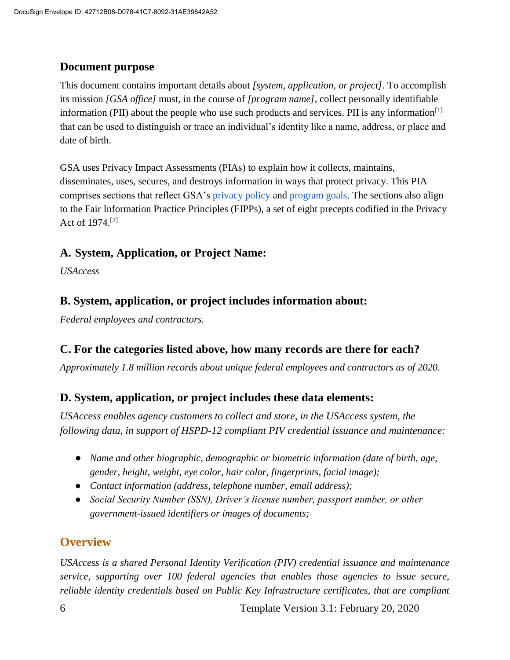#### **Document purpose**

This document contains important details about *[system, application, or project].* To accomplish its mission *[GSA office]* must, in the course of *[program name]*, collect personally identifiable information (PII) about the people who use such products and services. PII is any information $\left[1\right]$ that can be used to distinguish or trace an individual's identity like a name, address, or place and date of birth.

GSA uses Privacy Impact Assessments (PIAs) to explain how it collects, maintains, disseminates, uses, secures, and destroys information in ways that protect privacy. This PIA comprises sections that reflect GSA's [privacy policy](https://www.gsa.gov/website-information/privacy-and-security-notice) and [program goals.](https://www.gsa.gov/portal/category/21419) The sections also align to the Fair Information Practice Principles (FIPPs), a set of eight precepts codified in the Privacy Act of 1974.[2]

#### **A. System, Application, or Project Name:**

*USAccess*

#### **B. System, application, or project includes information about:**

*Federal employees and contractors.*

#### **C. For the categories listed above, how many records are there for each?**

*Approximately 1.8 million records about unique federal employees and contractors as of 2020.*

#### **D. System, application, or project includes these data elements:**

*USAccess enables agency customers to collect and store, in the USAccess system, the following data, in support of HSPD-12 compliant PIV credential issuance and maintenance:*

- *Name and other biographic, demographic or biometric information (date of birth, age, gender, height, weight, eye color, hair color, fingerprints, facial image);*
- *Contact information (address, telephone number, email address);*
- *Social Security Number (SSN), Driver's license number, passport number, or other government-issued identifiers or images of documents;*

## **Overview**

*USAccess is a shared Personal Identity Verification (PIV) credential issuance and maintenance service, supporting over 100 federal agencies that enables those agencies to issue secure, reliable identity credentials based on Public Key Infrastructure certificates, that are compliant*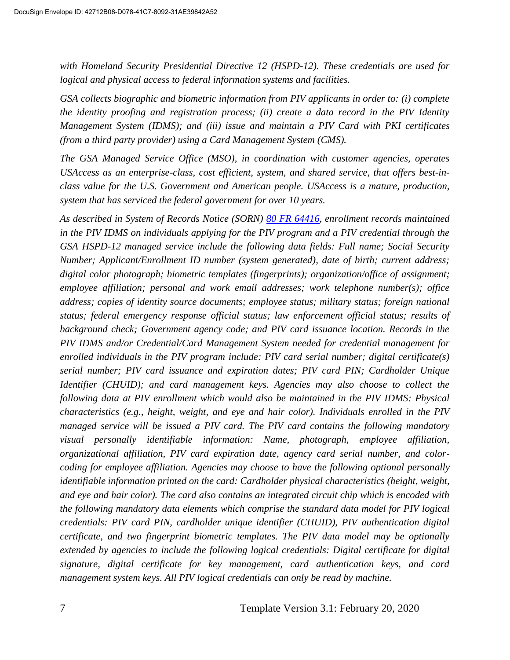*with Homeland Security Presidential Directive 12 (HSPD-12). These credentials are used for logical and physical access to federal information systems and facilities.*

*GSA collects biographic and biometric information from PIV applicants in order to: (i) complete the identity proofing and registration process; (ii) create a data record in the PIV Identity Management System (IDMS); and (iii) issue and maintain a PIV Card with PKI certificates (from a third party provider) using a Card Management System (CMS).*

*The GSA Managed Service Office (MSO), in coordination with customer agencies, operates USAccess as an enterprise-class, cost efficient, system, and shared service, that offers best-inclass value for the U.S. Government and American people. USAccess is a mature, production, system that has serviced the federal government for over 10 years.*

*As described in System of Records Notice (SORN) [80 FR 64416,](https://www.federalregister.gov/documents/2015/10/23/2015-26940/privacy-act-of-1974-notice-of-an-updated-system-of-records) enrollment records maintained in the PIV IDMS on individuals applying for the PIV program and a PIV credential through the GSA HSPD-12 managed service include the following data fields: Full name; Social Security Number; Applicant/Enrollment ID number (system generated), date of birth; current address; digital color photograph; biometric templates (fingerprints); organization/office of assignment; employee affiliation; personal and work email addresses; work telephone number(s); office address; copies of identity source documents; employee status; military status; foreign national status; federal emergency response official status; law enforcement official status; results of background check; Government agency code; and PIV card issuance location. Records in the PIV IDMS and/or Credential/Card Management System needed for credential management for enrolled individuals in the PIV program include: PIV card serial number; digital certificate(s) serial number; PIV card issuance and expiration dates; PIV card PIN; Cardholder Unique Identifier (CHUID); and card management keys. Agencies may also choose to collect the following data at PIV enrollment which would also be maintained in the PIV IDMS: Physical characteristics (e.g., height, weight, and eye and hair color). Individuals enrolled in the PIV managed service will be issued a PIV card. The PIV card contains the following mandatory visual personally identifiable information: Name, photograph, employee affiliation, organizational affiliation, PIV card expiration date, agency card serial number, and colorcoding for employee affiliation. Agencies may choose to have the following optional personally identifiable information printed on the card: Cardholder physical characteristics (height, weight, and eye and hair color). The card also contains an integrated circuit chip which is encoded with the following mandatory data elements which comprise the standard data model for PIV logical credentials: PIV card PIN, cardholder unique identifier (CHUID), PIV authentication digital certificate, and two fingerprint biometric templates. The PIV data model may be optionally extended by agencies to include the following logical credentials: Digital certificate for digital signature, digital certificate for key management, card authentication keys, and card management system keys. All PIV logical credentials can only be read by machine.*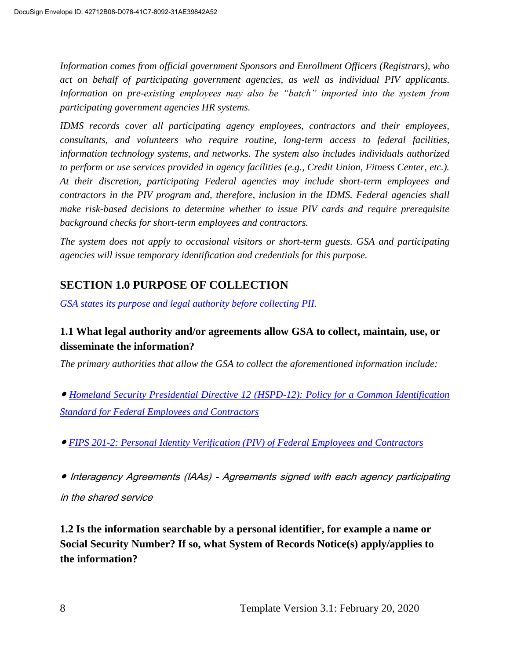*Information comes from official government Sponsors and Enrollment Officers (Registrars), who act on behalf of participating government agencies, as well as individual PIV applicants. Information on pre-existing employees may also be "batch" imported into the system from participating government agencies HR systems.*

*IDMS records cover all participating agency employees, contractors and their employees, consultants, and volunteers who require routine, long-term access to federal facilities, information technology systems, and networks. The system also includes individuals authorized to perform or use services provided in agency facilities (e.g., Credit Union, Fitness Center, etc.). At their discretion, participating Federal agencies may include short-term employees and contractors in the PIV program and, therefore, inclusion in the IDMS. Federal agencies shall make risk-based decisions to determine whether to issue PIV cards and require prerequisite background checks for short-term employees and contractors.*

*The system does not apply to occasional visitors or short-term guests. GSA and participating agencies will issue temporary identification and credentials for this purpose.*

## **SECTION 1.0 PURPOSE OF COLLECTION**

*GSA states its purpose and legal authority before collecting PII.*

#### **1.1 What legal authority and/or agreements allow GSA to collect, maintain, use, or disseminate the information?**

*The primary authorities that allow the GSA to collect the aforementioned information include:*

● *[Homeland Security Presidential Directive 12 \(HSPD-12\): Policy for a Common Identification](https://www.dhs.gov/homeland-security-presidential-directive-12)  [Standard for Federal Employees and Contractors](https://www.dhs.gov/homeland-security-presidential-directive-12)*

● *[FIPS 201-2: Personal Identity Verification \(PIV\) of Federal Employees and Contractors](https://csrc.nist.gov/publications/detail/fips/201/2/final)*

● Interagency Agreements (IAAs) - Agreements signed with each agency participating

in the shared service

**1.2 Is the information searchable by a personal identifier, for example a name or Social Security Number? If so, what System of Records Notice(s) apply/applies to the information?**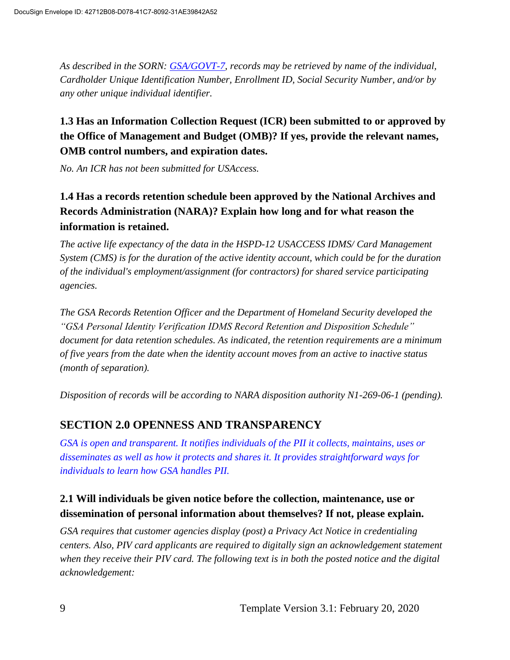*As described in the SORN: [GSA/GOVT-7,](https://www.federalregister.gov/documents/2015/10/23/2015-26940/privacy-act-of-1974-notice-of-an-updated-system-of-records) records may be retrieved by name of the individual, Cardholder Unique Identification Number, Enrollment ID, Social Security Number, and/or by any other unique individual identifier.* 

## **1.3 Has an Information Collection Request (ICR) been submitted to or approved by the Office of Management and Budget (OMB)? If yes, provide the relevant names, OMB control numbers, and expiration dates.**

*No. An ICR has not been submitted for USAccess.* 

## **1.4 Has a records retention schedule been approved by the National Archives and Records Administration (NARA)? Explain how long and for what reason the information is retained.**

*The active life expectancy of the data in the HSPD-12 USACCESS IDMS/ Card Management System (CMS) is for the duration of the active identity account, which could be for the duration of the individual's employment/assignment (for contractors) for shared service participating agencies.*

*The GSA Records Retention Officer and the Department of Homeland Security developed the "GSA Personal Identity Verification IDMS Record Retention and Disposition Schedule" document for data retention schedules. As indicated, the retention requirements are a minimum of five years from the date when the identity account moves from an active to inactive status (month of separation).*

*Disposition of records will be according to NARA disposition authority N1-269-06-1 (pending).*

## **SECTION 2.0 OPENNESS AND TRANSPARENCY**

*GSA is open and transparent. It notifies individuals of the PII it collects, maintains, uses or disseminates as well as how it protects and shares it. It provides straightforward ways for individuals to learn how GSA handles PII.*

#### **2.1 Will individuals be given notice before the collection, maintenance, use or dissemination of personal information about themselves? If not, please explain.**

*GSA requires that customer agencies display (post) a Privacy Act Notice in credentialing centers. Also, PIV card applicants are required to digitally sign an acknowledgement statement when they receive their PIV card. The following text is in both the posted notice and the digital acknowledgement:*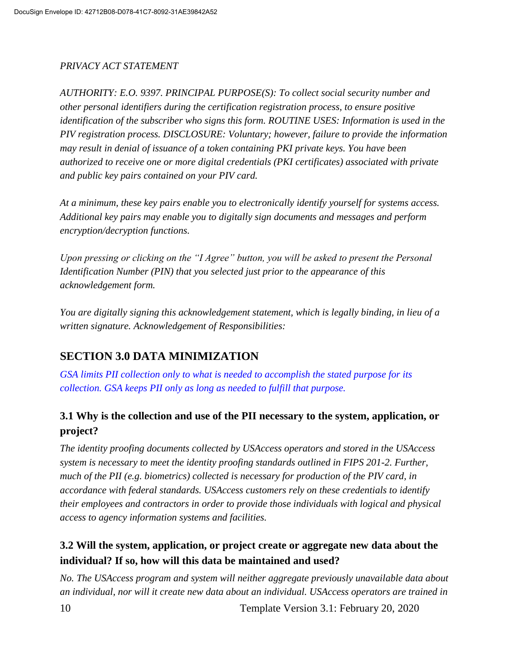#### *PRIVACY ACT STATEMENT*

*AUTHORITY: E.O. 9397. PRINCIPAL PURPOSE(S): To collect social security number and other personal identifiers during the certification registration process, to ensure positive identification of the subscriber who signs this form. ROUTINE USES: Information is used in the PIV registration process. DISCLOSURE: Voluntary; however, failure to provide the information may result in denial of issuance of a token containing PKI private keys. You have been authorized to receive one or more digital credentials (PKI certificates) associated with private and public key pairs contained on your PIV card.* 

*At a minimum, these key pairs enable you to electronically identify yourself for systems access. Additional key pairs may enable you to digitally sign documents and messages and perform encryption/decryption functions.* 

*Upon pressing or clicking on the "I Agree" button, you will be asked to present the Personal Identification Number (PIN) that you selected just prior to the appearance of this acknowledgement form.* 

*You are digitally signing this acknowledgement statement, which is legally binding, in lieu of a written signature. Acknowledgement of Responsibilities:* 

## **SECTION 3.0 DATA MINIMIZATION**

*GSA limits PII collection only to what is needed to accomplish the stated purpose for its collection. GSA keeps PII only as long as needed to fulfill that purpose.*

#### **3.1 Why is the collection and use of the PII necessary to the system, application, or project?**

*The identity proofing documents collected by USAccess operators and stored in the USAccess system is necessary to meet the identity proofing standards outlined in FIPS 201-2. Further, much of the PII (e.g. biometrics) collected is necessary for production of the PIV card, in accordance with federal standards. USAccess customers rely on these credentials to identify their employees and contractors in order to provide those individuals with logical and physical access to agency information systems and facilities.* 

## **3.2 Will the system, application, or project create or aggregate new data about the individual? If so, how will this data be maintained and used?**

*No. The USAccess program and system will neither aggregate previously unavailable data about an individual, nor will it create new data about an individual. USAccess operators are trained in* 

10 Template Version 3.1: February 20, 2020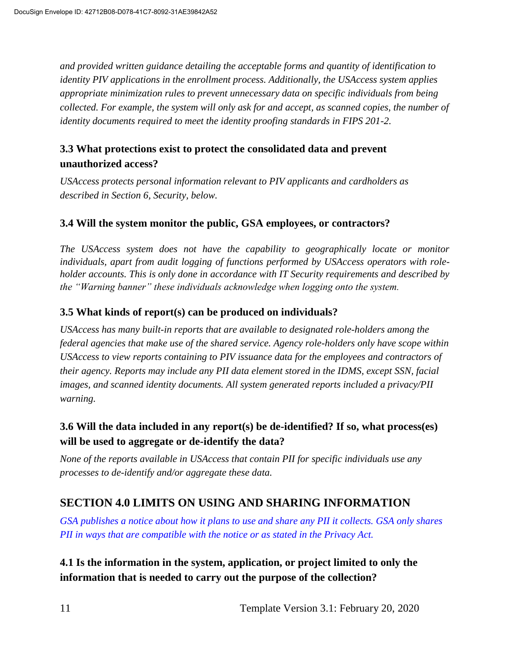*and provided written guidance detailing the acceptable forms and quantity of identification to identity PIV applications in the enrollment process. Additionally, the USAccess system applies appropriate minimization rules to prevent unnecessary data on specific individuals from being collected. For example, the system will only ask for and accept, as scanned copies, the number of identity documents required to meet the identity proofing standards in FIPS 201-2.* 

#### **3.3 What protections exist to protect the consolidated data and prevent unauthorized access?**

*USAccess protects personal information relevant to PIV applicants and cardholders as described in Section 6, Security, below.* 

#### **3.4 Will the system monitor the public, GSA employees, or contractors?**

*The USAccess system does not have the capability to geographically locate or monitor individuals, apart from audit logging of functions performed by USAccess operators with roleholder accounts. This is only done in accordance with IT Security requirements and described by the "Warning banner" these individuals acknowledge when logging onto the system.*

#### **3.5 What kinds of report(s) can be produced on individuals?**

*USAccess has many built-in reports that are available to designated role-holders among the federal agencies that make use of the shared service. Agency role-holders only have scope within USAccess to view reports containing to PIV issuance data for the employees and contractors of their agency. Reports may include any PII data element stored in the IDMS, except SSN, facial images, and scanned identity documents. All system generated reports included a privacy/PII warning.* 

#### **3.6 Will the data included in any report(s) be de-identified? If so, what process(es) will be used to aggregate or de-identify the data?**

*None of the reports available in USAccess that contain PII for specific individuals use any processes to de-identify and/or aggregate these data.* 

## **SECTION 4.0 LIMITS ON USING AND SHARING INFORMATION**

*GSA publishes a notice about how it plans to use and share any PII it collects. GSA only shares PII in ways that are compatible with the notice or as stated in the Privacy Act.*

**4.1 Is the information in the system, application, or project limited to only the information that is needed to carry out the purpose of the collection?**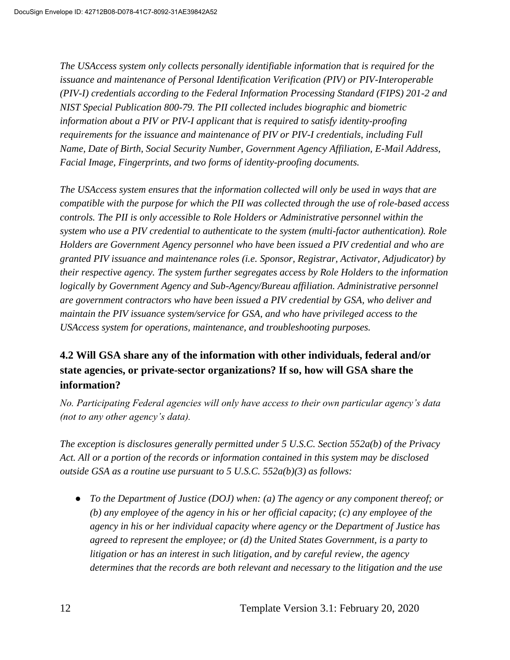*The USAccess system only collects personally identifiable information that is required for the issuance and maintenance of Personal Identification Verification (PIV) or PIV-Interoperable (PIV-I) credentials according to the Federal Information Processing Standard (FIPS) 201-2 and NIST Special Publication 800-79. The PII collected includes biographic and biometric information about a PIV or PIV-I applicant that is required to satisfy identity-proofing requirements for the issuance and maintenance of PIV or PIV-I credentials, including Full Name, Date of Birth, Social Security Number, Government Agency Affiliation, E-Mail Address, Facial Image, Fingerprints, and two forms of identity-proofing documents.*

*The USAccess system ensures that the information collected will only be used in ways that are compatible with the purpose for which the PII was collected through the use of role-based access controls. The PII is only accessible to Role Holders or Administrative personnel within the system who use a PIV credential to authenticate to the system (multi-factor authentication). Role Holders are Government Agency personnel who have been issued a PIV credential and who are granted PIV issuance and maintenance roles (i.e. Sponsor, Registrar, Activator, Adjudicator) by their respective agency. The system further segregates access by Role Holders to the information logically by Government Agency and Sub-Agency/Bureau affiliation. Administrative personnel are government contractors who have been issued a PIV credential by GSA, who deliver and maintain the PIV issuance system/service for GSA, and who have privileged access to the USAccess system for operations, maintenance, and troubleshooting purposes.*

#### **4.2 Will GSA share any of the information with other individuals, federal and/or state agencies, or private-sector organizations? If so, how will GSA share the information?**

*No. Participating Federal agencies will only have access to their own particular agency's data (not to any other agency's data).*

*The exception is disclosures generally permitted under 5 U.S.C. Section 552a(b) of the Privacy Act. All or a portion of the records or information contained in this system may be disclosed outside GSA as a routine use pursuant to 5 U.S.C. 552a(b)(3) as follows:*

● *To the Department of Justice (DOJ) when: (a) The agency or any component thereof; or (b) any employee of the agency in his or her official capacity; (c) any employee of the agency in his or her individual capacity where agency or the Department of Justice has agreed to represent the employee; or (d) the United States Government, is a party to litigation or has an interest in such litigation, and by careful review, the agency determines that the records are both relevant and necessary to the litigation and the use*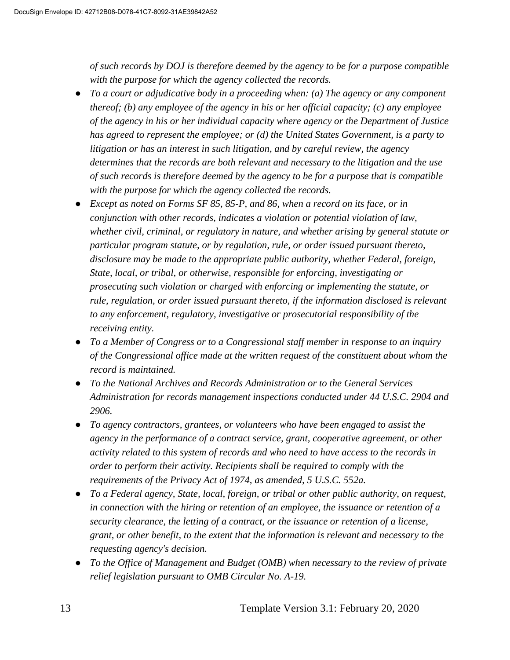*of such records by DOJ is therefore deemed by the agency to be for a purpose compatible with the purpose for which the agency collected the records.*

- *To a court or adjudicative body in a proceeding when: (a) The agency or any component thereof; (b) any employee of the agency in his or her official capacity; (c) any employee of the agency in his or her individual capacity where agency or the Department of Justice has agreed to represent the employee; or (d) the United States Government, is a party to litigation or has an interest in such litigation, and by careful review, the agency determines that the records are both relevant and necessary to the litigation and the use of such records is therefore deemed by the agency to be for a purpose that is compatible with the purpose for which the agency collected the records.*
- *Except as noted on Forms SF 85, 85-P, and 86, when a record on its face, or in conjunction with other records, indicates a violation or potential violation of law, whether civil, criminal, or regulatory in nature, and whether arising by general statute or particular program statute, or by regulation, rule, or order issued pursuant thereto, disclosure may be made to the appropriate public authority, whether Federal, foreign, State, local, or tribal, or otherwise, responsible for enforcing, investigating or prosecuting such violation or charged with enforcing or implementing the statute, or rule, regulation, or order issued pursuant thereto, if the information disclosed is relevant to any enforcement, regulatory, investigative or prosecutorial responsibility of the receiving entity.*
- *To a Member of Congress or to a Congressional staff member in response to an inquiry of the Congressional office made at the written request of the constituent about whom the record is maintained.*
- *To the National Archives and Records Administration or to the General Services Administration for records management inspections conducted under 44 U.S.C. 2904 and 2906.*
- *To agency contractors, grantees, or volunteers who have been engaged to assist the agency in the performance of a contract service, grant, cooperative agreement, or other activity related to this system of records and who need to have access to the records in order to perform their activity. Recipients shall be required to comply with the requirements of the Privacy Act of 1974, as amended, 5 U.S.C. 552a.*
- *To a Federal agency, State, local, foreign, or tribal or other public authority, on request, in connection with the hiring or retention of an employee, the issuance or retention of a security clearance, the letting of a contract, or the issuance or retention of a license, grant, or other benefit, to the extent that the information is relevant and necessary to the requesting agency's decision.*
- *To the Office of Management and Budget (OMB) when necessary to the review of private relief legislation pursuant to OMB Circular No. A-19.*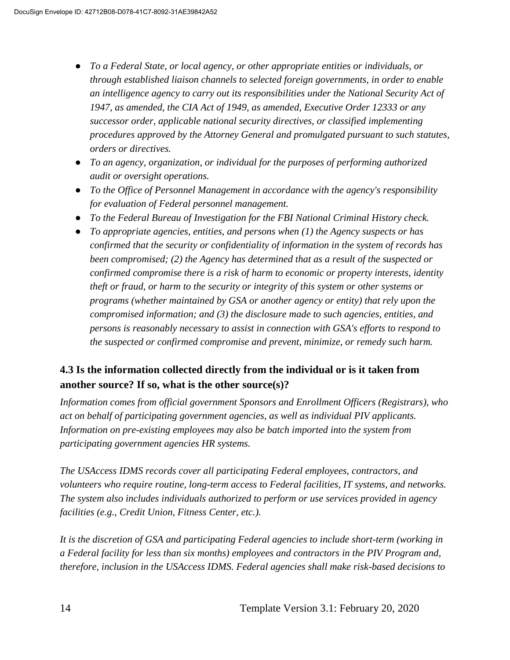- *To a Federal State, or local agency, or other appropriate entities or individuals, or through established liaison channels to selected foreign governments, in order to enable an intelligence agency to carry out its responsibilities under the National Security Act of 1947, as amended, the CIA Act of 1949, as amended, Executive Order 12333 or any successor order, applicable national security directives, or classified implementing procedures approved by the Attorney General and promulgated pursuant to such statutes, orders or directives.*
- *To an agency, organization, or individual for the purposes of performing authorized audit or oversight operations.*
- *To the Office of Personnel Management in accordance with the agency's responsibility for evaluation of Federal personnel management.*
- *To the Federal Bureau of Investigation for the FBI National Criminal History check.*
- *To appropriate agencies, entities, and persons when (1) the Agency suspects or has confirmed that the security or confidentiality of information in the system of records has been compromised; (2) the Agency has determined that as a result of the suspected or confirmed compromise there is a risk of harm to economic or property interests, identity theft or fraud, or harm to the security or integrity of this system or other systems or programs (whether maintained by GSA or another agency or entity) that rely upon the compromised information; and (3) the disclosure made to such agencies, entities, and persons is reasonably necessary to assist in connection with GSA's efforts to respond to the suspected or confirmed compromise and prevent, minimize, or remedy such harm.*

#### **4.3 Is the information collected directly from the individual or is it taken from another source? If so, what is the other source(s)?**

*Information comes from official government Sponsors and Enrollment Officers (Registrars), who act on behalf of participating government agencies, as well as individual PIV applicants. Information on pre-existing employees may also be batch imported into the system from participating government agencies HR systems.*

*The USAccess IDMS records cover all participating Federal employees, contractors, and volunteers who require routine, long-term access to Federal facilities, IT systems, and networks. The system also includes individuals authorized to perform or use services provided in agency facilities (e.g., Credit Union, Fitness Center, etc.).*

*It is the discretion of GSA and participating Federal agencies to include short-term (working in a Federal facility for less than six months) employees and contractors in the PIV Program and, therefore, inclusion in the USAccess IDMS. Federal agencies shall make risk-based decisions to*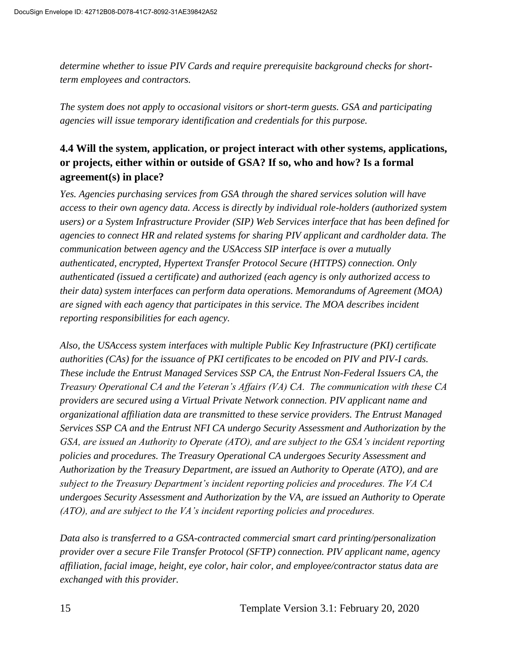*determine whether to issue PIV Cards and require prerequisite background checks for shortterm employees and contractors.*

*The system does not apply to occasional visitors or short-term guests. GSA and participating agencies will issue temporary identification and credentials for this purpose.*

#### **4.4 Will the system, application, or project interact with other systems, applications, or projects, either within or outside of GSA? If so, who and how? Is a formal agreement(s) in place?**

*Yes. Agencies purchasing services from GSA through the shared services solution will have access to their own agency data. Access is directly by individual role-holders (authorized system users) or a System Infrastructure Provider (SIP) Web Services interface that has been defined for agencies to connect HR and related systems for sharing PIV applicant and cardholder data. The communication between agency and the USAccess SIP interface is over a mutually authenticated, encrypted, Hypertext Transfer Protocol Secure (HTTPS) connection. Only authenticated (issued a certificate) and authorized (each agency is only authorized access to their data) system interfaces can perform data operations. Memorandums of Agreement (MOA) are signed with each agency that participates in this service. The MOA describes incident reporting responsibilities for each agency.*

*Also, the USAccess system interfaces with multiple Public Key Infrastructure (PKI) certificate authorities (CAs) for the issuance of PKI certificates to be encoded on PIV and PIV-I cards. These include the Entrust Managed Services SSP CA, the Entrust Non-Federal Issuers CA, the Treasury Operational CA and the Veteran's Affairs (VA) CA. The communication with these CA providers are secured using a Virtual Private Network connection. PIV applicant name and organizational affiliation data are transmitted to these service providers. The Entrust Managed Services SSP CA and the Entrust NFI CA undergo Security Assessment and Authorization by the GSA, are issued an Authority to Operate (ATO), and are subject to the GSA's incident reporting policies and procedures. The Treasury Operational CA undergoes Security Assessment and Authorization by the Treasury Department, are issued an Authority to Operate (ATO), and are subject to the Treasury Department's incident reporting policies and procedures. The VA CA undergoes Security Assessment and Authorization by the VA, are issued an Authority to Operate (ATO), and are subject to the VA's incident reporting policies and procedures.*

*Data also is transferred to a GSA-contracted commercial smart card printing/personalization provider over a secure File Transfer Protocol (SFTP) connection. PIV applicant name, agency affiliation, facial image, height, eye color, hair color, and employee/contractor status data are exchanged with this provider.*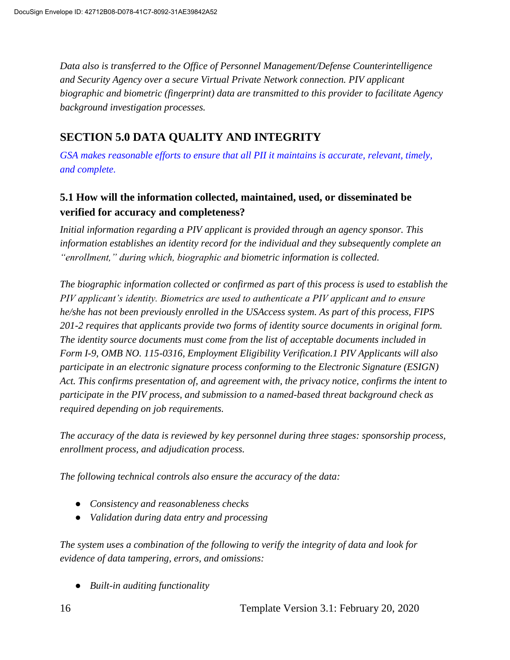*Data also is transferred to the Office of Personnel Management/Defense Counterintelligence and Security Agency over a secure Virtual Private Network connection. PIV applicant biographic and biometric (fingerprint) data are transmitted to this provider to facilitate Agency background investigation processes.*

### **SECTION 5.0 DATA QUALITY AND INTEGRITY**

*GSA makes reasonable efforts to ensure that all PII it maintains is accurate, relevant, timely, and complete.*

#### **5.1 How will the information collected, maintained, used, or disseminated be verified for accuracy and completeness?**

*Initial information regarding a PIV applicant is provided through an agency sponsor. This information establishes an identity record for the individual and they subsequently complete an "enrollment," during which, biographic and biometric information is collected.*

*The biographic information collected or confirmed as part of this process is used to establish the PIV applicant's identity. Biometrics are used to authenticate a PIV applicant and to ensure he/she has not been previously enrolled in the USAccess system. As part of this process, FIPS 201-2 requires that applicants provide two forms of identity source documents in original form. The identity source documents must come from the list of acceptable documents included in Form I-9, OMB NO. 115-0316, Employment Eligibility Verification.1 PIV Applicants will also participate in an electronic signature process conforming to the Electronic Signature (ESIGN) Act. This confirms presentation of, and agreement with, the privacy notice, confirms the intent to participate in the PIV process, and submission to a named-based threat background check as required depending on job requirements.*

*The accuracy of the data is reviewed by key personnel during three stages: sponsorship process, enrollment process, and adjudication process.*

*The following technical controls also ensure the accuracy of the data:*

- *Consistency and reasonableness checks*
- *Validation during data entry and processing*

*The system uses a combination of the following to verify the integrity of data and look for evidence of data tampering, errors, and omissions:*

● *Built-in auditing functionality*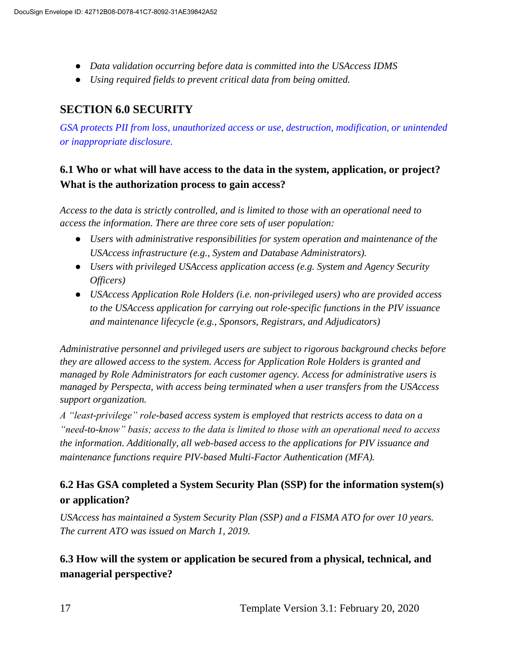- *Data validation occurring before data is committed into the USAccess IDMS*
- *Using required fields to prevent critical data from being omitted.*

### **SECTION 6.0 SECURITY**

*GSA protects PII from loss, unauthorized access or use, destruction, modification, or unintended or inappropriate disclosure.*

#### **6.1 Who or what will have access to the data in the system, application, or project? What is the authorization process to gain access?**

*Access to the data is strictly controlled, and is limited to those with an operational need to access the information. There are three core sets of user population:*

- *Users with administrative responsibilities for system operation and maintenance of the USAccess infrastructure (e.g., System and Database Administrators).*
- *Users with privileged USAccess application access (e.g. System and Agency Security Officers)*
- *USAccess Application Role Holders (i.e. non-privileged users) who are provided access to the USAccess application for carrying out role-specific functions in the PIV issuance and maintenance lifecycle (e.g., Sponsors, Registrars, and Adjudicators)*

*Administrative personnel and privileged users are subject to rigorous background checks before they are allowed access to the system. Access for Application Role Holders is granted and managed by Role Administrators for each customer agency. Access for administrative users is managed by Perspecta, with access being terminated when a user transfers from the USAccess support organization.*

*A "least-privilege" role-based access system is employed that restricts access to data on a "need-to-know" basis; access to the data is limited to those with an operational need to access the information. Additionally, all web-based access to the applications for PIV issuance and maintenance functions require PIV-based Multi-Factor Authentication (MFA).*

#### **6.2 Has GSA completed a System Security Plan (SSP) for the information system(s) or application?**

*USAccess has maintained a System Security Plan (SSP) and a FISMA ATO for over 10 years. The current ATO was issued on March 1, 2019.*

#### **6.3 How will the system or application be secured from a physical, technical, and managerial perspective?**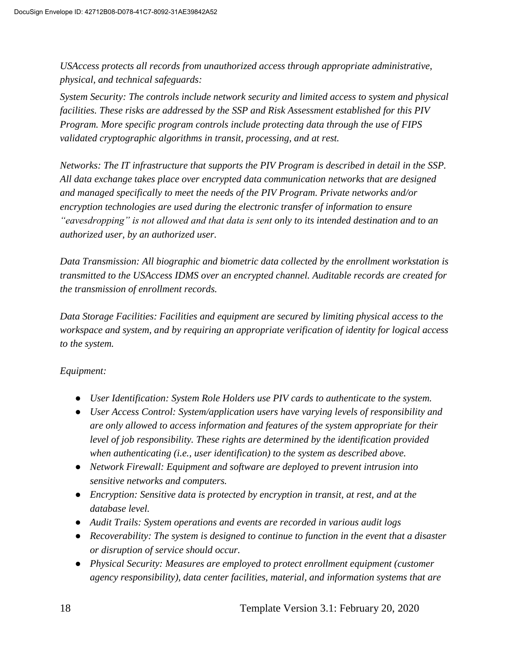*USAccess protects all records from unauthorized access through appropriate administrative, physical, and technical safeguards:*

*System Security: The controls include network security and limited access to system and physical facilities. These risks are addressed by the SSP and Risk Assessment established for this PIV Program. More specific program controls include protecting data through the use of FIPS validated cryptographic algorithms in transit, processing, and at rest.*

*Networks: The IT infrastructure that supports the PIV Program is described in detail in the SSP. All data exchange takes place over encrypted data communication networks that are designed and managed specifically to meet the needs of the PIV Program. Private networks and/or encryption technologies are used during the electronic transfer of information to ensure "eavesdropping" is not allowed and that data is sent only to its intended destination and to an authorized user, by an authorized user.*

*Data Transmission: All biographic and biometric data collected by the enrollment workstation is transmitted to the USAccess IDMS over an encrypted channel. Auditable records are created for the transmission of enrollment records.*

*Data Storage Facilities: Facilities and equipment are secured by limiting physical access to the workspace and system, and by requiring an appropriate verification of identity for logical access to the system.*

#### *Equipment:*

- *User Identification: System Role Holders use PIV cards to authenticate to the system.*
- *User Access Control: System/application users have varying levels of responsibility and are only allowed to access information and features of the system appropriate for their level of job responsibility. These rights are determined by the identification provided when authenticating (i.e., user identification) to the system as described above.*
- *Network Firewall: Equipment and software are deployed to prevent intrusion into sensitive networks and computers.*
- *Encryption: Sensitive data is protected by encryption in transit, at rest, and at the database level.*
- *Audit Trails: System operations and events are recorded in various audit logs*
- *Recoverability: The system is designed to continue to function in the event that a disaster or disruption of service should occur.*
- *Physical Security: Measures are employed to protect enrollment equipment (customer agency responsibility), data center facilities, material, and information systems that are*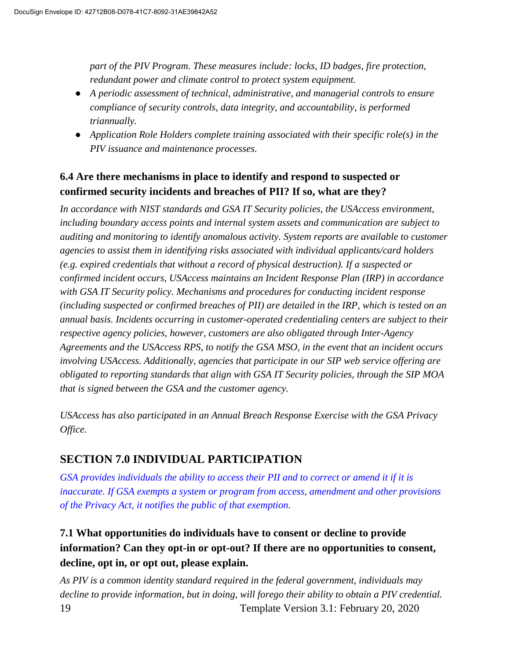*part of the PIV Program. These measures include: locks, ID badges, fire protection, redundant power and climate control to protect system equipment.*

- *A periodic assessment of technical, administrative, and managerial controls to ensure compliance of security controls, data integrity, and accountability, is performed triannually.*
- *Application Role Holders complete training associated with their specific role(s) in the PIV issuance and maintenance processes.*

#### **6.4 Are there mechanisms in place to identify and respond to suspected or confirmed security incidents and breaches of PII? If so, what are they?**

*In accordance with NIST standards and GSA IT Security policies, the USAccess environment, including boundary access points and internal system assets and communication are subject to auditing and monitoring to identify anomalous activity. System reports are available to customer agencies to assist them in identifying risks associated with individual applicants/card holders (e.g. expired credentials that without a record of physical destruction). If a suspected or confirmed incident occurs, USAccess maintains an Incident Response Plan (IRP) in accordance with GSA IT Security policy. Mechanisms and procedures for conducting incident response (including suspected or confirmed breaches of PII) are detailed in the IRP, which is tested on an annual basis. Incidents occurring in customer-operated credentialing centers are subject to their respective agency policies, however, customers are also obligated through Inter-Agency Agreements and the USAccess RPS, to notify the GSA MSO, in the event that an incident occurs involving USAccess. Additionally, agencies that participate in our SIP web service offering are obligated to reporting standards that align with GSA IT Security policies, through the SIP MOA that is signed between the GSA and the customer agency.*

*USAccess has also participated in an Annual Breach Response Exercise with the GSA Privacy Office.*

## **SECTION 7.0 INDIVIDUAL PARTICIPATION**

*GSA provides individuals the ability to access their PII and to correct or amend it if it is inaccurate. If GSA exempts a system or program from access, amendment and other provisions of the Privacy Act, it notifies the public of that exemption.*

## **7.1 What opportunities do individuals have to consent or decline to provide information? Can they opt-in or opt-out? If there are no opportunities to consent, decline, opt in, or opt out, please explain.**

19 Template Version 3.1: February 20, 2020 *As PIV is a common identity standard required in the federal government, individuals may decline to provide information, but in doing, will forego their ability to obtain a PIV credential.*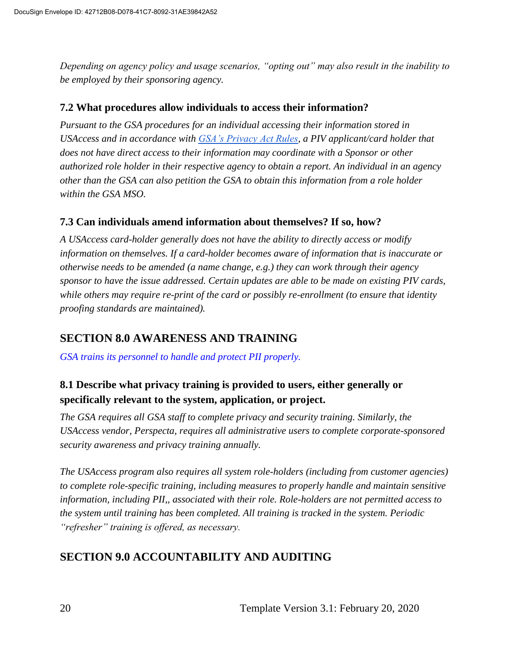*Depending on agency policy and usage scenarios, "opting out" may also result in the inability to be employed by their sponsoring agency.*

#### **7.2 What procedures allow individuals to access their information?**

*Pursuant to the GSA procedures for an individual accessing their information stored in USAccess and in accordance with [GSA's Privacy Act Rules,](https://www.ecfr.gov/cgi-bin/text-idx?SID=6154365ba5a35a9e40ac8912ebff0e88&mc=true&node=pt41.3.105_664&rgn=div5) a PIV applicant/card holder that does not have direct access to their information may coordinate with a Sponsor or other authorized role holder in their respective agency to obtain a report. An individual in an agency other than the GSA can also petition the GSA to obtain this information from a role holder within the GSA MSO.*

#### **7.3 Can individuals amend information about themselves? If so, how?**

*A USAccess card-holder generally does not have the ability to directly access or modify information on themselves. If a card-holder becomes aware of information that is inaccurate or otherwise needs to be amended (a name change, e.g.) they can work through their agency sponsor to have the issue addressed. Certain updates are able to be made on existing PIV cards, while others may require re-print of the card or possibly re-enrollment (to ensure that identity proofing standards are maintained).*

#### **SECTION 8.0 AWARENESS AND TRAINING**

*GSA trains its personnel to handle and protect PII properly.*

#### **8.1 Describe what privacy training is provided to users, either generally or specifically relevant to the system, application, or project.**

*The GSA requires all GSA staff to complete privacy and security training. Similarly, the USAccess vendor, Perspecta, requires all administrative users to complete corporate-sponsored security awareness and privacy training annually.* 

*The USAccess program also requires all system role-holders (including from customer agencies) to complete role-specific training, including measures to properly handle and maintain sensitive information, including PII,, associated with their role. Role-holders are not permitted access to the system until training has been completed. All training is tracked in the system. Periodic "refresher" training is offered, as necessary.*

## **SECTION 9.0 ACCOUNTABILITY AND AUDITING**